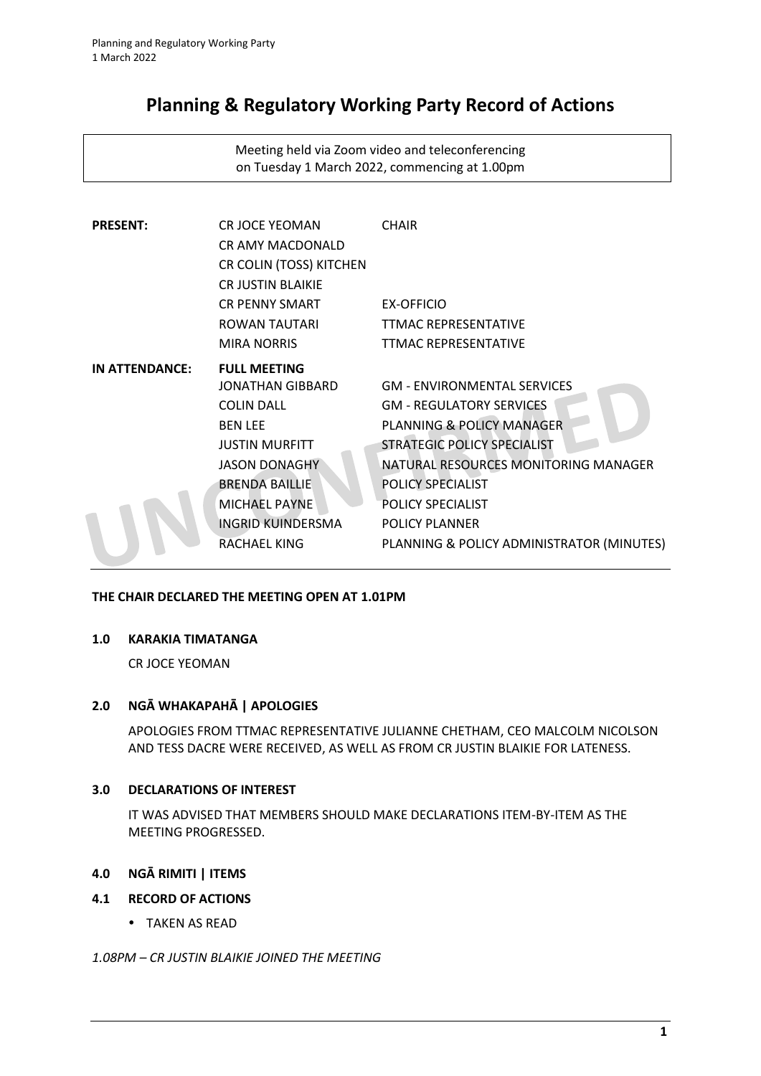# **Planning & Regulatory Working Party Record of Actions**

Meeting held via Zoom video and teleconferencing on Tuesday 1 March 2022, commencing at 1.00pm

| <b>PRESENT:</b> | <b>CR JOCE YEOMAN</b><br><b>CRAMY MACDONALD</b><br>CR COLIN (TOSS) KITCHEN<br><b>CR JUSTIN BLAIKIE</b> | <b>CHAIR</b>                              |
|-----------------|--------------------------------------------------------------------------------------------------------|-------------------------------------------|
|                 | <b>CR PENNY SMART</b>                                                                                  | EX-OFFICIO                                |
|                 | ROWAN TAUTARI                                                                                          | <b>TTMAC REPRESENTATIVE</b>               |
|                 | <b>MIRA NORRIS</b>                                                                                     | <b>TTMAC REPRESENTATIVE</b>               |
| IN ATTENDANCE:  | <b>FULL MEETING</b>                                                                                    |                                           |
|                 | JONATHAN GIBBARD                                                                                       | <b>GM - ENVIRONMENTAL SERVICES</b>        |
|                 | <b>COLIN DALL</b>                                                                                      | <b>GM - REGULATORY SERVICES</b>           |
|                 | <b>BEN LEE</b>                                                                                         | PLANNING & POLICY MANAGER                 |
|                 | <b>JUSTIN MURFITT</b>                                                                                  | <b>STRATEGIC POLICY SPECIALIST</b>        |
|                 | <b>JASON DONAGHY</b>                                                                                   | NATURAL RESOURCES MONITORING MANAGER      |
|                 | <b>BRENDA BAILLIE</b>                                                                                  | <b>POLICY SPECIALIST</b>                  |
|                 | <b>MICHAEL PAYNE</b>                                                                                   | <b>POLICY SPECIALIST</b>                  |
|                 | INGRID KUINDERSMA                                                                                      | <b>POLICY PLANNER</b>                     |
|                 | RACHAEL KING                                                                                           | PLANNING & POLICY ADMINISTRATOR (MINUTES) |

# **THE CHAIR DECLARED THE MEETING OPEN AT 1.01PM**

### **1.0 KARAKIA TIMATANGA**

CR JOCE YEOMAN

# **2.0 NGĀ WHAKAPAHĀ | APOLOGIES**

APOLOGIES FROM TTMAC REPRESENTATIVE JULIANNE CHETHAM, CEO MALCOLM NICOLSON AND TESS DACRE WERE RECEIVED, AS WELL AS FROM CR JUSTIN BLAIKIE FOR LATENESS.

### **3.0 DECLARATIONS OF INTEREST**

IT WAS ADVISED THAT MEMBERS SHOULD MAKE DECLARATIONS ITEM-BY-ITEM AS THE MEETING PROGRESSED.

# **4.0 NGĀ RIMITI | ITEMS**

## **4.1 RECORD OF ACTIONS**

TAKEN AS READ

### *1.08PM – CR JUSTIN BLAIKIE JOINED THE MEETING*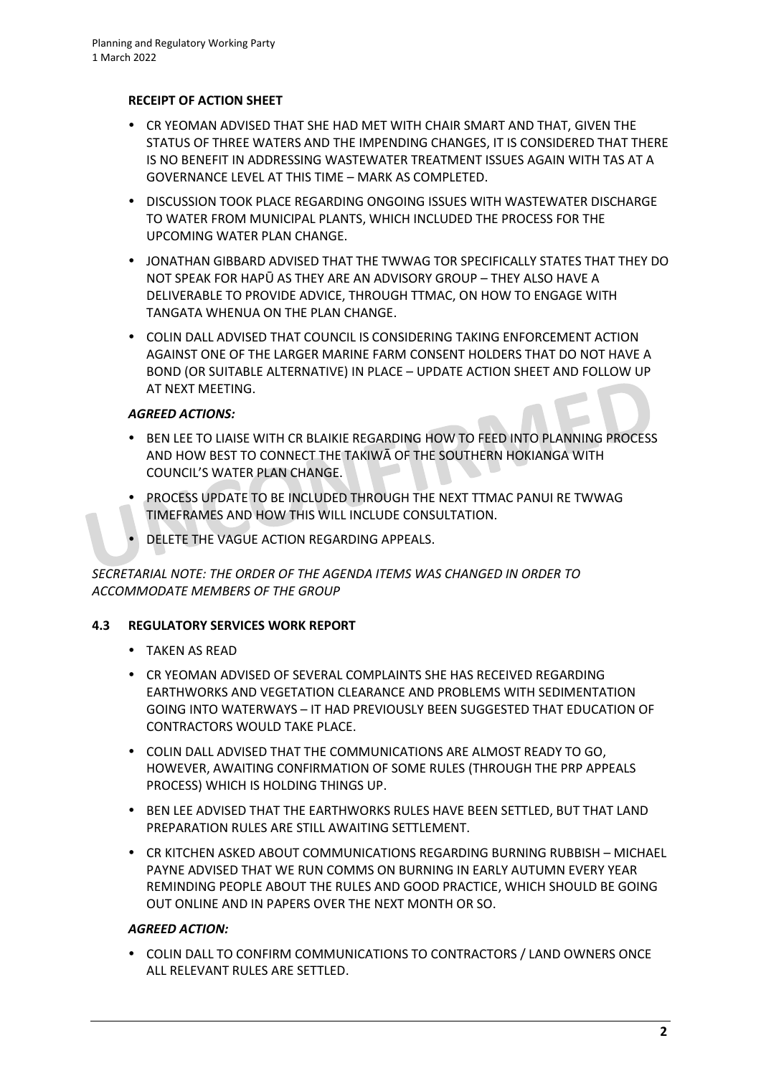## **RECEIPT OF ACTION SHEET**

- CR YEOMAN ADVISED THAT SHE HAD MET WITH CHAIR SMART AND THAT, GIVEN THE STATUS OF THREE WATERS AND THE IMPENDING CHANGES, IT IS CONSIDERED THAT THERE IS NO BENEFIT IN ADDRESSING WASTEWATER TREATMENT ISSUES AGAIN WITH TAS AT A GOVERNANCE LEVEL AT THIS TIME – MARK AS COMPLETED.
- **DISCUSSION TOOK PLACE REGARDING ONGOING ISSUES WITH WASTEWATER DISCHARGE** TO WATER FROM MUNICIPAL PLANTS, WHICH INCLUDED THE PROCESS FOR THE UPCOMING WATER PLAN CHANGE.
- JONATHAN GIBBARD ADVISED THAT THE TWWAG TOR SPECIFICALLY STATES THAT THEY DO NOT SPEAK FOR HAPŪ AS THEY ARE AN ADVISORY GROUP – THEY ALSO HAVE A DELIVERABLE TO PROVIDE ADVICE, THROUGH TTMAC, ON HOW TO ENGAGE WITH TANGATA WHENUA ON THE PLAN CHANGE.
- COLIN DALL ADVISED THAT COUNCIL IS CONSIDERING TAKING ENFORCEMENT ACTION AGAINST ONE OF THE LARGER MARINE FARM CONSENT HOLDERS THAT DO NOT HAVE A BOND (OR SUITABLE ALTERNATIVE) IN PLACE – UPDATE ACTION SHEET AND FOLLOW UP AT NEXT MEETING.

# *AGREED ACTIONS:*

- **BEN LEE TO LIAISE WITH CR BLAIKIE REGARDING HOW TO FEED INTO PLANNING PROCESS** AND HOW BEST TO CONNECT THE TAKIWĀ OF THE SOUTHERN HOKIANGA WITH COUNCIL'S WATER PLAN CHANGE.
- PROCESS UPDATE TO BE INCLUDED THROUGH THE NEXT TTMAC PANUI RE TWWAG TIMEFRAMES AND HOW THIS WILL INCLUDE CONSULTATION.
- DELETE THE VAGUE ACTION REGARDING APPEALS.

# *SECRETARIAL NOTE: THE ORDER OF THE AGENDA ITEMS WAS CHANGED IN ORDER TO ACCOMMODATE MEMBERS OF THE GROUP*

# **4.3 REGULATORY SERVICES WORK REPORT**

- TAKEN AS READ
- CR YEOMAN ADVISED OF SEVERAL COMPLAINTS SHE HAS RECEIVED REGARDING EARTHWORKS AND VEGETATION CLEARANCE AND PROBLEMS WITH SEDIMENTATION GOING INTO WATERWAYS – IT HAD PREVIOUSLY BEEN SUGGESTED THAT EDUCATION OF CONTRACTORS WOULD TAKE PLACE.
- COLIN DALL ADVISED THAT THE COMMUNICATIONS ARE ALMOST READY TO GO, HOWEVER, AWAITING CONFIRMATION OF SOME RULES (THROUGH THE PRP APPEALS PROCESS) WHICH IS HOLDING THINGS UP.
- BEN LEE ADVISED THAT THE EARTHWORKS RULES HAVE BEEN SETTLED, BUT THAT LAND PREPARATION RULES ARE STILL AWAITING SETTLEMENT.
- CR KITCHEN ASKED ABOUT COMMUNICATIONS REGARDING BURNING RUBBISH MICHAEL PAYNE ADVISED THAT WE RUN COMMS ON BURNING IN EARLY AUTUMN EVERY YEAR REMINDING PEOPLE ABOUT THE RULES AND GOOD PRACTICE, WHICH SHOULD BE GOING OUT ONLINE AND IN PAPERS OVER THE NEXT MONTH OR SO.

# *AGREED ACTION:*

 COLIN DALL TO CONFIRM COMMUNICATIONS TO CONTRACTORS / LAND OWNERS ONCE ALL RELEVANT RULES ARE SETTLED.